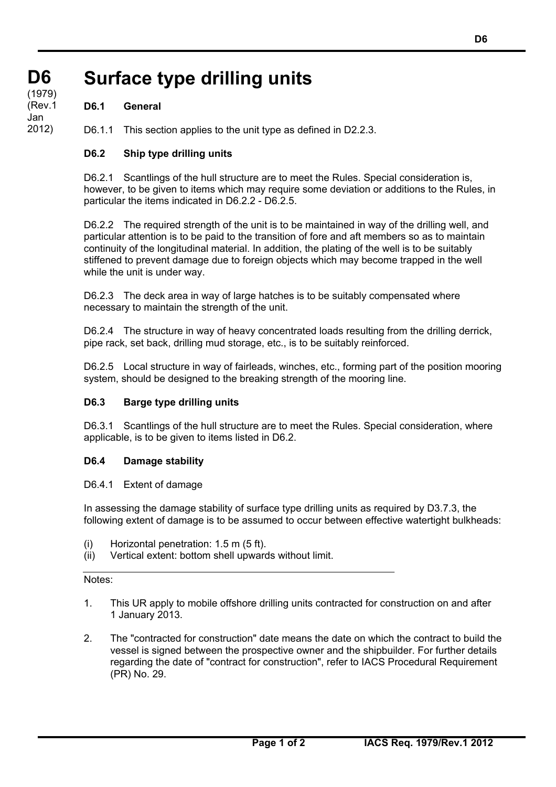#### **D6 D6 (cont)** (1979) **Surface type drilling units**

# **D6.1 General**

(Rev.1 Jan 2012)

D6.1.1 This section applies to the unit type as defined in D2.2.3.

# **D6.2 Ship type drilling units**

D6.2.1 Scantlings of the hull structure are to meet the Rules. Special consideration is, however, to be given to items which may require some deviation or additions to the Rules, in particular the items indicated in D6.2.2 - D6.2.5.

D6.2.2 The required strength of the unit is to be maintained in way of the drilling well, and particular attention is to be paid to the transition of fore and aft members so as to maintain continuity of the longitudinal material. In addition, the plating of the well is to be suitably stiffened to prevent damage due to foreign objects which may become trapped in the well while the unit is under way.

D6.2.3 The deck area in way of large hatches is to be suitably compensated where necessary to maintain the strength of the unit.

D6.2.4 The structure in way of heavy concentrated loads resulting from the drilling derrick, pipe rack, set back, drilling mud storage, etc., is to be suitably reinforced.

D6.2.5 Local structure in way of fairleads, winches, etc., forming part of the position mooring system, should be designed to the breaking strength of the mooring line.

## **D6.3 Barge type drilling units**

D6.3.1 Scantlings of the hull structure are to meet the Rules. Special consideration, where applicable, is to be given to items listed in D6.2.

## **D6.4 Damage stability**

## D6.4.1 Extent of damage

In assessing the damage stability of surface type drilling units as required by D3.7.3, the following extent of damage is to be assumed to occur between effective watertight bulkheads:

- (i) Horizontal penetration: 1.5 m (5 ft).
- (ii) Vertical extent: bottom shell upwards without limit.

#### Notes:

- 1. This UR apply to mobile offshore drilling units contracted for construction on and after 1 January 2013.
- 2. The "contracted for construction" date means the date on which the contract to build the vessel is signed between the prospective owner and the shipbuilder. For further details regarding the date of "contract for construction", refer to IACS Procedural Requirement (PR) No. 29.